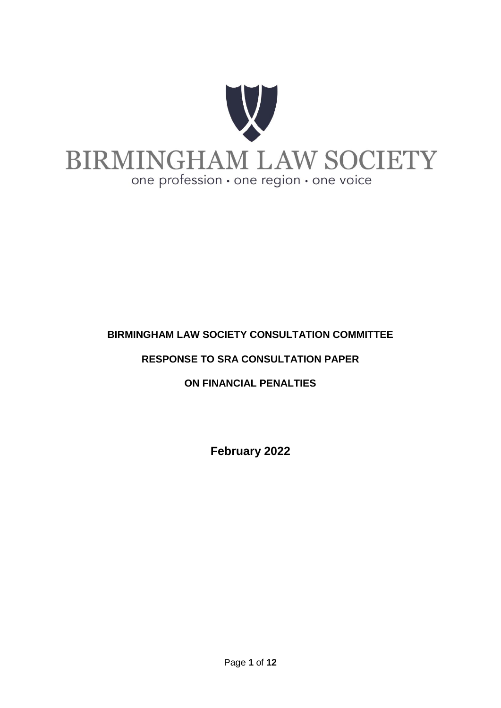

## **BIRMINGHAM LAW SOCIETY CONSULTATION COMMITTEE**

## **RESPONSE TO SRA CONSULTATION PAPER**

**ON FINANCIAL PENALTIES** 

**February 2022**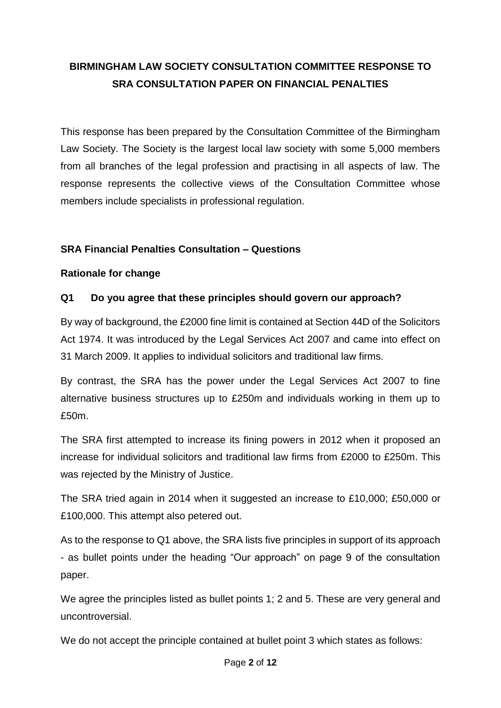# **BIRMINGHAM LAW SOCIETY CONSULTATION COMMITTEE RESPONSE TO SRA CONSULTATION PAPER ON FINANCIAL PENALTIES**

This response has been prepared by the Consultation Committee of the Birmingham Law Society. The Society is the largest local law society with some 5,000 members from all branches of the legal profession and practising in all aspects of law. The response represents the collective views of the Consultation Committee whose members include specialists in professional regulation.

## **SRA Financial Penalties Consultation – Questions**

## **Rationale for change**

## **Q1 Do you agree that these principles should govern our approach?**

By way of background, the £2000 fine limit is contained at Section 44D of the Solicitors Act 1974. It was introduced by the Legal Services Act 2007 and came into effect on 31 March 2009. It applies to individual solicitors and traditional law firms.

By contrast, the SRA has the power under the Legal Services Act 2007 to fine alternative business structures up to £250m and individuals working in them up to £50m.

The SRA first attempted to increase its fining powers in 2012 when it proposed an increase for individual solicitors and traditional law firms from £2000 to £250m. This was rejected by the Ministry of Justice.

The SRA tried again in 2014 when it suggested an increase to £10,000; £50,000 or £100,000. This attempt also petered out.

As to the response to Q1 above, the SRA lists five principles in support of its approach - as bullet points under the heading "Our approach" on page 9 of the consultation paper.

We agree the principles listed as bullet points 1; 2 and 5. These are very general and uncontroversial.

We do not accept the principle contained at bullet point 3 which states as follows: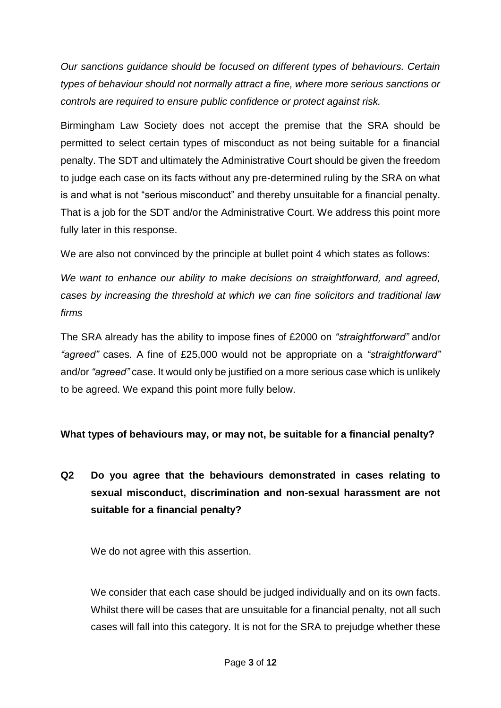*Our sanctions guidance should be focused on different types of behaviours. Certain types of behaviour should not normally attract a fine, where more serious sanctions or controls are required to ensure public confidence or protect against risk.*

Birmingham Law Society does not accept the premise that the SRA should be permitted to select certain types of misconduct as not being suitable for a financial penalty. The SDT and ultimately the Administrative Court should be given the freedom to judge each case on its facts without any pre-determined ruling by the SRA on what is and what is not "serious misconduct" and thereby unsuitable for a financial penalty. That is a job for the SDT and/or the Administrative Court. We address this point more fully later in this response.

We are also not convinced by the principle at bullet point 4 which states as follows:

*We want to enhance our ability to make decisions on straightforward, and agreed, cases by increasing the threshold at which we can fine solicitors and traditional law firms* 

The SRA already has the ability to impose fines of £2000 on *"straightforward"* and/or *"agreed"* cases. A fine of £25,000 would not be appropriate on a *"straightforward"*  and/or *"agreed"* case. It would only be justified on a more serious case which is unlikely to be agreed. We expand this point more fully below.

## **What types of behaviours may, or may not, be suitable for a financial penalty?**

# **Q2 Do you agree that the behaviours demonstrated in cases relating to sexual misconduct, discrimination and non-sexual harassment are not suitable for a financial penalty?**

We do not agree with this assertion.

We consider that each case should be judged individually and on its own facts. Whilst there will be cases that are unsuitable for a financial penalty, not all such cases will fall into this category. It is not for the SRA to prejudge whether these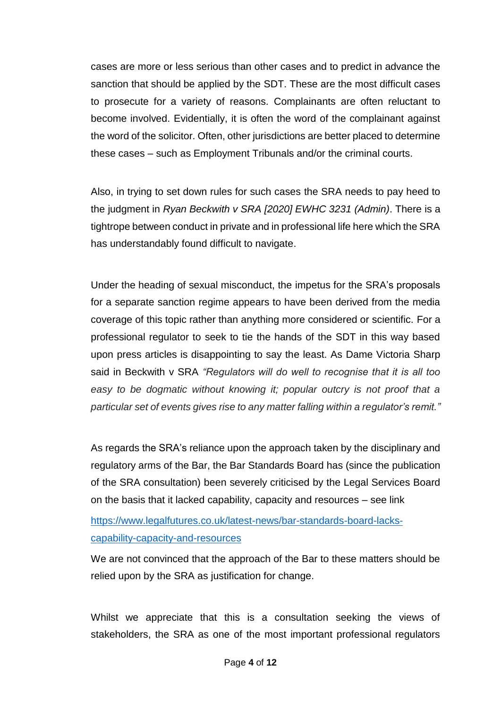cases are more or less serious than other cases and to predict in advance the sanction that should be applied by the SDT. These are the most difficult cases to prosecute for a variety of reasons. Complainants are often reluctant to become involved. Evidentially, it is often the word of the complainant against the word of the solicitor. Often, other jurisdictions are better placed to determine these cases – such as Employment Tribunals and/or the criminal courts.

Also, in trying to set down rules for such cases the SRA needs to pay heed to the judgment in *Ryan Beckwith v SRA [2020] EWHC 3231 (Admin)*. There is a tightrope between conduct in private and in professional life here which the SRA has understandably found difficult to navigate.

Under the heading of sexual misconduct, the impetus for the SRA's proposals for a separate sanction regime appears to have been derived from the media coverage of this topic rather than anything more considered or scientific. For a professional regulator to seek to tie the hands of the SDT in this way based upon press articles is disappointing to say the least. As Dame Victoria Sharp said in Beckwith v SRA *"Regulators will do well to recognise that it is all too*  easy to be dogmatic without knowing it; popular outcry is not proof that a *particular set of events gives rise to any matter falling within a regulator's remit."*

As regards the SRA's reliance upon the approach taken by the disciplinary and regulatory arms of the Bar, the Bar Standards Board has (since the publication of the SRA consultation) been severely criticised by the Legal Services Board on the basis that it lacked capability, capacity and resources – see link

[https://www.legalfutures.co.uk/latest-news/bar-standards-board-lacks](https://www.legalfutures.co.uk/latest-news/bar-standards-board-lacks-capability-capacity-and-resources)[capability-capacity-and-resources](https://www.legalfutures.co.uk/latest-news/bar-standards-board-lacks-capability-capacity-and-resources)

We are not convinced that the approach of the Bar to these matters should be relied upon by the SRA as justification for change.

Whilst we appreciate that this is a consultation seeking the views of stakeholders, the SRA as one of the most important professional regulators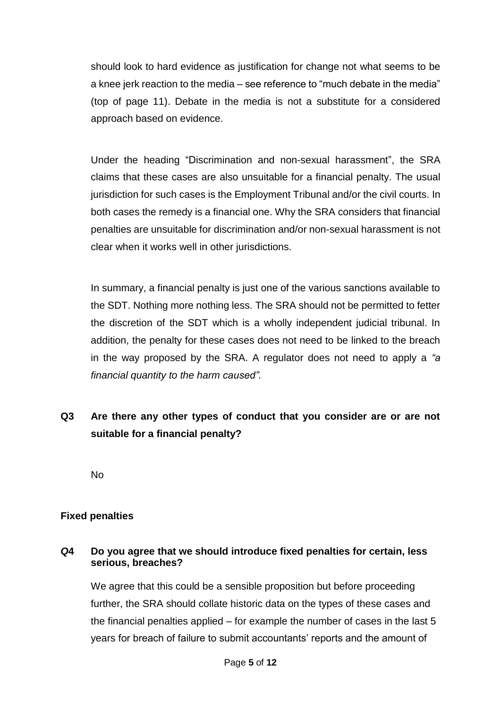should look to hard evidence as justification for change not what seems to be a knee jerk reaction to the media – see reference to "much debate in the media" (top of page 11). Debate in the media is not a substitute for a considered approach based on evidence.

Under the heading "Discrimination and non-sexual harassment", the SRA claims that these cases are also unsuitable for a financial penalty. The usual jurisdiction for such cases is the Employment Tribunal and/or the civil courts. In both cases the remedy is a financial one. Why the SRA considers that financial penalties are unsuitable for discrimination and/or non-sexual harassment is not clear when it works well in other jurisdictions.

In summary, a financial penalty is just one of the various sanctions available to the SDT. Nothing more nothing less. The SRA should not be permitted to fetter the discretion of the SDT which is a wholly independent judicial tribunal. In addition, the penalty for these cases does not need to be linked to the breach in the way proposed by the SRA. A regulator does not need to apply a *"a financial quantity to the harm caused".* 

## **Q3 Are there any other types of conduct that you consider are or are not suitable for a financial penalty?**

No

## **Fixed penalties**

#### *Q***4 Do you agree that we should introduce fixed penalties for certain, less serious, breaches?**

We agree that this could be a sensible proposition but before proceeding further, the SRA should collate historic data on the types of these cases and the financial penalties applied – for example the number of cases in the last 5 years for breach of failure to submit accountants' reports and the amount of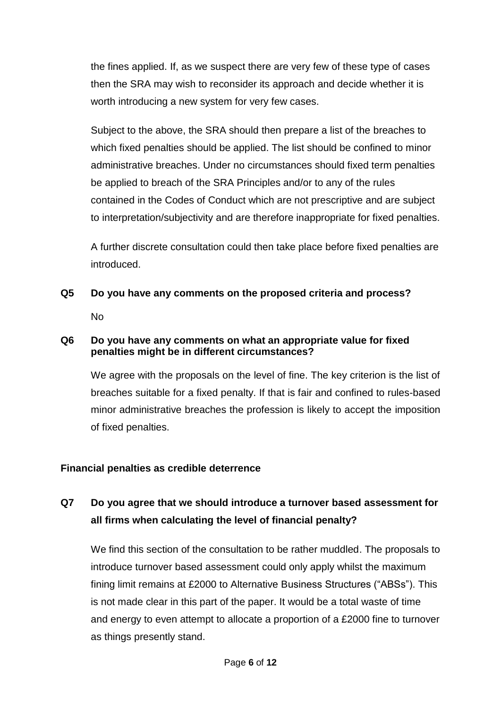the fines applied. If, as we suspect there are very few of these type of cases then the SRA may wish to reconsider its approach and decide whether it is worth introducing a new system for very few cases.

Subject to the above, the SRA should then prepare a list of the breaches to which fixed penalties should be applied. The list should be confined to minor administrative breaches. Under no circumstances should fixed term penalties be applied to breach of the SRA Principles and/or to any of the rules contained in the Codes of Conduct which are not prescriptive and are subject to interpretation/subjectivity and are therefore inappropriate for fixed penalties.

A further discrete consultation could then take place before fixed penalties are introduced.

**Q5 Do you have any comments on the proposed criteria and process?** No

#### **Q6 Do you have any comments on what an appropriate value for fixed penalties might be in different circumstances?**

We agree with the proposals on the level of fine. The key criterion is the list of breaches suitable for a fixed penalty. If that is fair and confined to rules-based minor administrative breaches the profession is likely to accept the imposition of fixed penalties.

## **Financial penalties as credible deterrence**

## **Q7 Do you agree that we should introduce a turnover based assessment for all firms when calculating the level of financial penalty?**

We find this section of the consultation to be rather muddled. The proposals to introduce turnover based assessment could only apply whilst the maximum fining limit remains at £2000 to Alternative Business Structures ("ABSs"). This is not made clear in this part of the paper. It would be a total waste of time and energy to even attempt to allocate a proportion of a £2000 fine to turnover as things presently stand.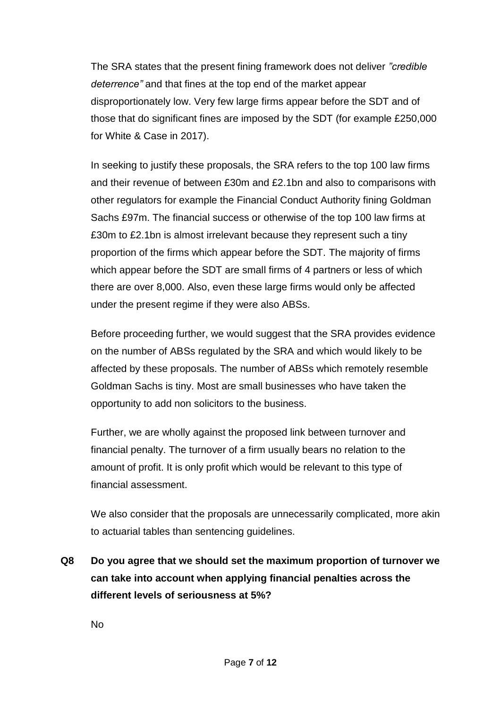The SRA states that the present fining framework does not deliver *"credible deterrence"* and that fines at the top end of the market appear disproportionately low. Very few large firms appear before the SDT and of those that do significant fines are imposed by the SDT (for example £250,000 for White & Case in 2017).

In seeking to justify these proposals, the SRA refers to the top 100 law firms and their revenue of between £30m and £2.1bn and also to comparisons with other regulators for example the Financial Conduct Authority fining Goldman Sachs £97m. The financial success or otherwise of the top 100 law firms at £30m to £2.1bn is almost irrelevant because they represent such a tiny proportion of the firms which appear before the SDT. The majority of firms which appear before the SDT are small firms of 4 partners or less of which there are over 8,000. Also, even these large firms would only be affected under the present regime if they were also ABSs.

Before proceeding further, we would suggest that the SRA provides evidence on the number of ABSs regulated by the SRA and which would likely to be affected by these proposals. The number of ABSs which remotely resemble Goldman Sachs is tiny. Most are small businesses who have taken the opportunity to add non solicitors to the business.

Further, we are wholly against the proposed link between turnover and financial penalty. The turnover of a firm usually bears no relation to the amount of profit. It is only profit which would be relevant to this type of financial assessment.

We also consider that the proposals are unnecessarily complicated, more akin to actuarial tables than sentencing guidelines.

**Q8 Do you agree that we should set the maximum proportion of turnover we can take into account when applying financial penalties across the different levels of seriousness at 5%?**

No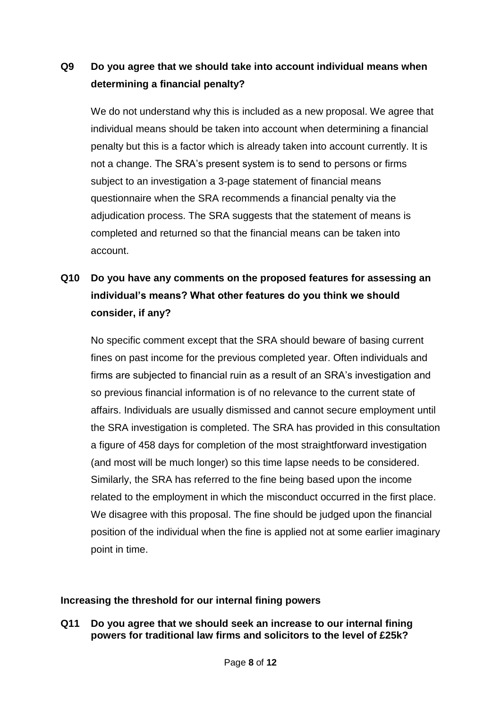## **Q9 Do you agree that we should take into account individual means when determining a financial penalty?**

We do not understand why this is included as a new proposal. We agree that individual means should be taken into account when determining a financial penalty but this is a factor which is already taken into account currently. It is not a change. The SRA's present system is to send to persons or firms subject to an investigation a 3-page statement of financial means questionnaire when the SRA recommends a financial penalty via the adjudication process. The SRA suggests that the statement of means is completed and returned so that the financial means can be taken into account.

# **Q10 Do you have any comments on the proposed features for assessing an individual's means? What other features do you think we should consider, if any?**

No specific comment except that the SRA should beware of basing current fines on past income for the previous completed year. Often individuals and firms are subjected to financial ruin as a result of an SRA's investigation and so previous financial information is of no relevance to the current state of affairs. Individuals are usually dismissed and cannot secure employment until the SRA investigation is completed. The SRA has provided in this consultation a figure of 458 days for completion of the most straightforward investigation (and most will be much longer) so this time lapse needs to be considered. Similarly, the SRA has referred to the fine being based upon the income related to the employment in which the misconduct occurred in the first place. We disagree with this proposal. The fine should be judged upon the financial position of the individual when the fine is applied not at some earlier imaginary point in time.

## **Increasing the threshold for our internal fining powers**

**Q11 Do you agree that we should seek an increase to our internal fining powers for traditional law firms and solicitors to the level of £25k?**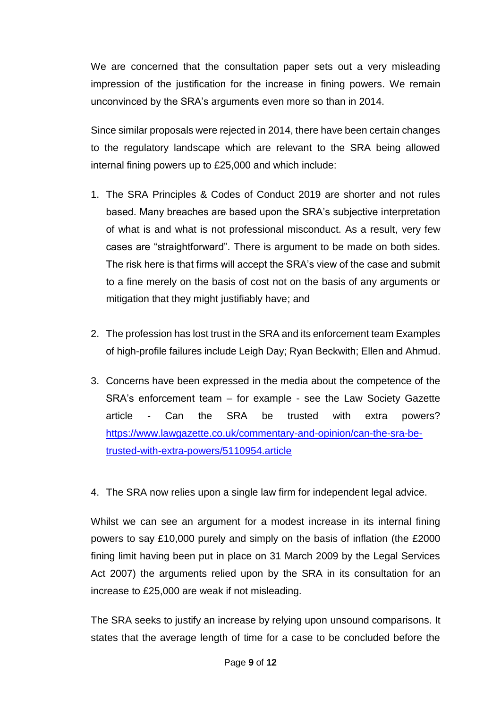We are concerned that the consultation paper sets out a very misleading impression of the justification for the increase in fining powers. We remain unconvinced by the SRA's arguments even more so than in 2014.

Since similar proposals were rejected in 2014, there have been certain changes to the regulatory landscape which are relevant to the SRA being allowed internal fining powers up to £25,000 and which include:

- 1. The SRA Principles & Codes of Conduct 2019 are shorter and not rules based. Many breaches are based upon the SRA's subjective interpretation of what is and what is not professional misconduct. As a result, very few cases are "straightforward". There is argument to be made on both sides. The risk here is that firms will accept the SRA's view of the case and submit to a fine merely on the basis of cost not on the basis of any arguments or mitigation that they might justifiably have; and
- 2. The profession has lost trust in the SRA and its enforcement team Examples of high-profile failures include Leigh Day; Ryan Beckwith; Ellen and Ahmud.
- 3. Concerns have been expressed in the media about the competence of the SRA's enforcement team – for example - see the Law Society Gazette article - Can the SRA be trusted with extra powers? [https://www.lawgazette.co.uk/commentary-and-opinion/can-the-sra-be](https://www.lawgazette.co.uk/commentary-and-opinion/can-the-sra-be-trusted-with-extra-powers/5110954.article)[trusted-with-extra-powers/5110954.article](https://www.lawgazette.co.uk/commentary-and-opinion/can-the-sra-be-trusted-with-extra-powers/5110954.article)
- 4. The SRA now relies upon a single law firm for independent legal advice.

Whilst we can see an argument for a modest increase in its internal fining powers to say £10,000 purely and simply on the basis of inflation (the £2000 fining limit having been put in place on 31 March 2009 by the Legal Services Act 2007) the arguments relied upon by the SRA in its consultation for an increase to £25,000 are weak if not misleading.

The SRA seeks to justify an increase by relying upon unsound comparisons. It states that the average length of time for a case to be concluded before the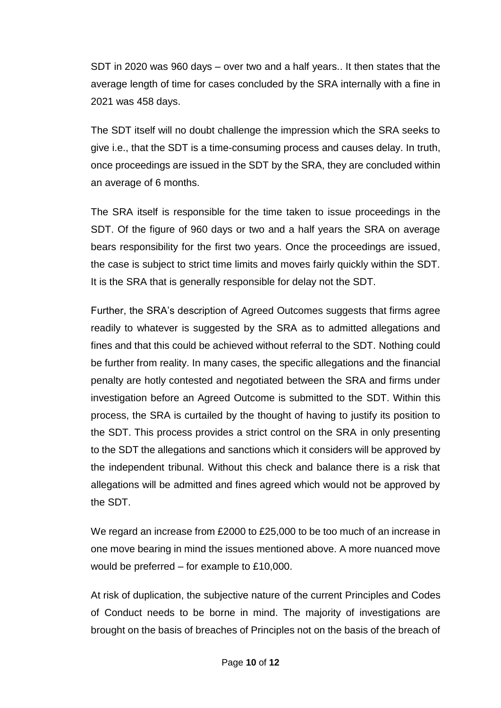SDT in 2020 was 960 days – over two and a half years.. It then states that the average length of time for cases concluded by the SRA internally with a fine in 2021 was 458 days.

The SDT itself will no doubt challenge the impression which the SRA seeks to give i.e., that the SDT is a time-consuming process and causes delay. In truth, once proceedings are issued in the SDT by the SRA, they are concluded within an average of 6 months.

The SRA itself is responsible for the time taken to issue proceedings in the SDT. Of the figure of 960 days or two and a half years the SRA on average bears responsibility for the first two years. Once the proceedings are issued, the case is subject to strict time limits and moves fairly quickly within the SDT. It is the SRA that is generally responsible for delay not the SDT.

Further, the SRA's description of Agreed Outcomes suggests that firms agree readily to whatever is suggested by the SRA as to admitted allegations and fines and that this could be achieved without referral to the SDT. Nothing could be further from reality. In many cases, the specific allegations and the financial penalty are hotly contested and negotiated between the SRA and firms under investigation before an Agreed Outcome is submitted to the SDT. Within this process, the SRA is curtailed by the thought of having to justify its position to the SDT. This process provides a strict control on the SRA in only presenting to the SDT the allegations and sanctions which it considers will be approved by the independent tribunal. Without this check and balance there is a risk that allegations will be admitted and fines agreed which would not be approved by the SDT.

We regard an increase from £2000 to £25,000 to be too much of an increase in one move bearing in mind the issues mentioned above. A more nuanced move would be preferred – for example to £10,000.

At risk of duplication, the subjective nature of the current Principles and Codes of Conduct needs to be borne in mind. The majority of investigations are brought on the basis of breaches of Principles not on the basis of the breach of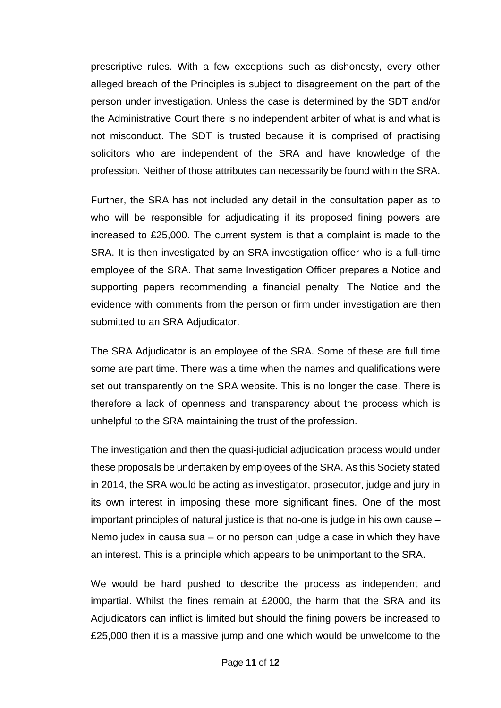prescriptive rules. With a few exceptions such as dishonesty, every other alleged breach of the Principles is subject to disagreement on the part of the person under investigation. Unless the case is determined by the SDT and/or the Administrative Court there is no independent arbiter of what is and what is not misconduct. The SDT is trusted because it is comprised of practising solicitors who are independent of the SRA and have knowledge of the profession. Neither of those attributes can necessarily be found within the SRA.

Further, the SRA has not included any detail in the consultation paper as to who will be responsible for adjudicating if its proposed fining powers are increased to £25,000. The current system is that a complaint is made to the SRA. It is then investigated by an SRA investigation officer who is a full-time employee of the SRA. That same Investigation Officer prepares a Notice and supporting papers recommending a financial penalty. The Notice and the evidence with comments from the person or firm under investigation are then submitted to an SRA Adjudicator.

The SRA Adjudicator is an employee of the SRA. Some of these are full time some are part time. There was a time when the names and qualifications were set out transparently on the SRA website. This is no longer the case. There is therefore a lack of openness and transparency about the process which is unhelpful to the SRA maintaining the trust of the profession.

The investigation and then the quasi-judicial adjudication process would under these proposals be undertaken by employees of the SRA. As this Society stated in 2014, the SRA would be acting as investigator, prosecutor, judge and jury in its own interest in imposing these more significant fines. One of the most important principles of natural justice is that no-one is judge in his own cause – Nemo judex in causa sua – or no person can judge a case in which they have an interest. This is a principle which appears to be unimportant to the SRA.

We would be hard pushed to describe the process as independent and impartial. Whilst the fines remain at £2000, the harm that the SRA and its Adjudicators can inflict is limited but should the fining powers be increased to £25,000 then it is a massive jump and one which would be unwelcome to the